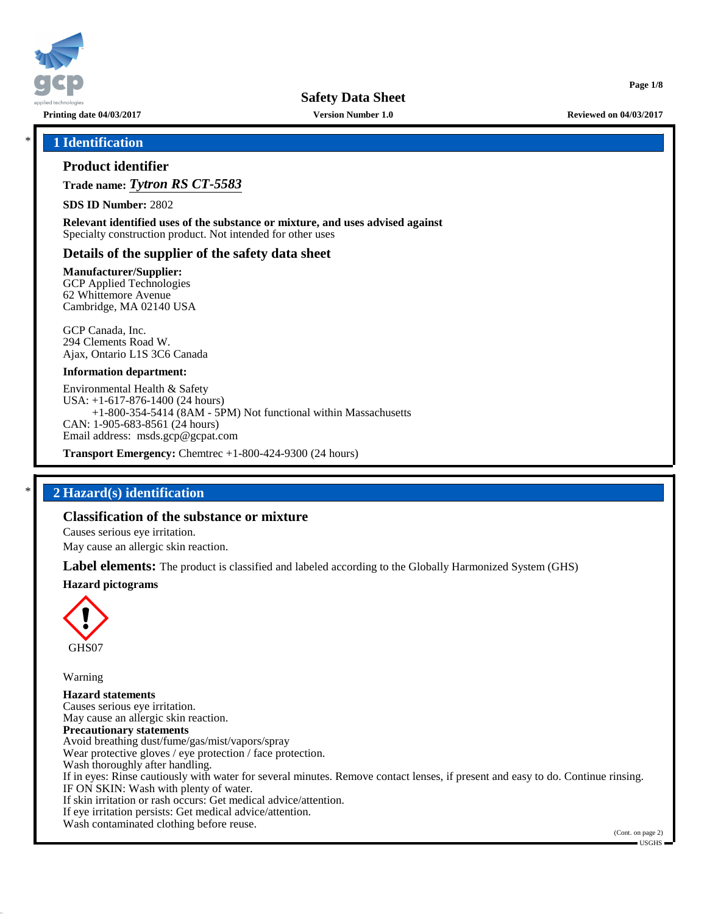

**Printing date 04/03/2017 Version Number 1.0 Reviewed on 04/03/2017**

**Page 1/8**

### \* **1 Identification**

# **Product identifier**

**Trade name:** *Tytron RS CT-5583*

**SDS ID Number:** 2802

**Relevant identified uses of the substance or mixture, and uses advised against** Specialty construction product. Not intended for other uses

# **Details of the supplier of the safety data sheet**

**Manufacturer/Supplier:**

GCP Applied Technologies 62 Whittemore Avenue Cambridge, MA 02140 USA

GCP Canada, Inc. 294 Clements Road W. Ajax, Ontario L1S 3C6 Canada

#### **Information department:**

Environmental Health & Safety USA: +1-617-876-1400 (24 hours) +1-800-354-5414 (8AM - 5PM) Not functional within Massachusetts CAN: 1-905-683-8561 (24 hours) Email address: msds.gcp@gcpat.com

**Transport Emergency:** Chemtrec +1-800-424-9300 (24 hours)

## \* **2 Hazard(s) identification**

# **Classification of the substance or mixture**

Causes serious eye irritation.

May cause an allergic skin reaction.

**Label elements:** The product is classified and labeled according to the Globally Harmonized System (GHS)

#### **Hazard pictograms**



Warning

**Hazard statements** Causes serious eye irritation. May cause an allergic skin reaction. **Precautionary statements** Avoid breathing dust/fume/gas/mist/vapors/spray Wear protective gloves / eye protection / face protection. Wash thoroughly after handling. If in eyes: Rinse cautiously with water for several minutes. Remove contact lenses, if present and easy to do. Continue rinsing. IF ON SKIN: Wash with plenty of water. If skin irritation or rash occurs: Get medical advice/attention. If eye irritation persists: Get medical advice/attention. Wash contaminated clothing before reuse.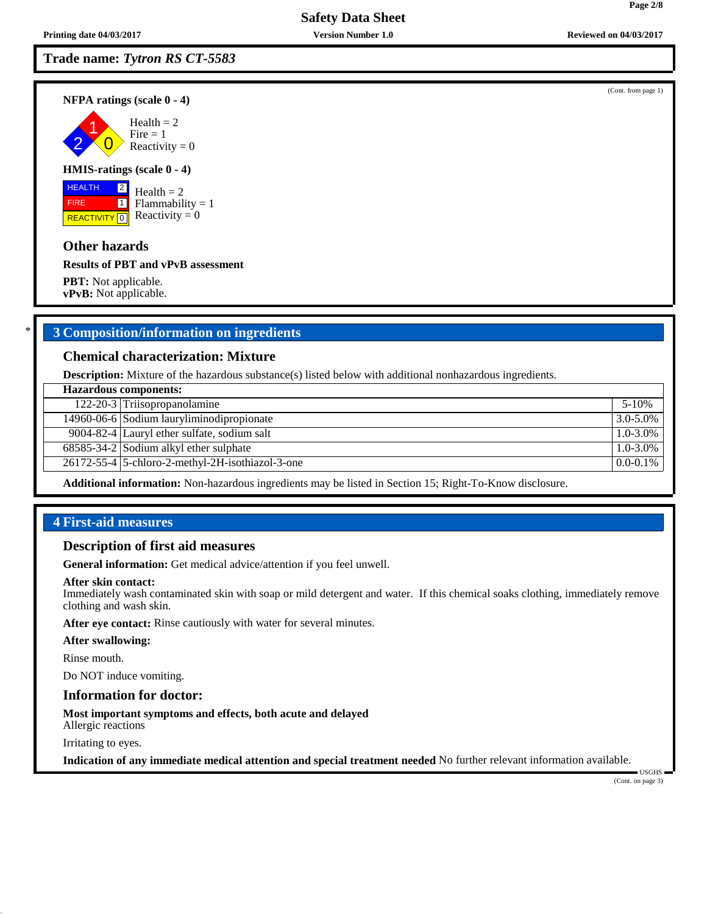# **Trade name:** *Tytron RS CT-5583*

**NFPA ratings (scale 0 - 4)**

2 1  $\overline{\mathbf{0}}$  $Health = 2$  $Fire = 1$ Reactivity  $= 0$ 

#### **HMIS-ratings (scale 0 - 4)**

 HEALTH FIRE **REACTIVITY** 0 2  $\boxed{1}$ 

 $Health = 2$  $Flammability = 1$ Reactivity  $= 0$ 

### **Other hazards**

**Results of PBT and vPvB assessment**

**PBT:** Not applicable. **vPvB:** Not applicable.

# \* **3 Composition/information on ingredients**

### **Chemical characterization: Mixture**

**Description:** Mixture of the hazardous substance(s) listed below with additional nonhazardous ingredients.

| <b>Hazardous components:</b> |                                                                  |               |  |
|------------------------------|------------------------------------------------------------------|---------------|--|
|                              | 122-20-3 Triisopropanolamine                                     | $5 - 10%$     |  |
|                              | 14960-06-6 Sodium lauryliminodipropionate                        | 3.0-5.0%      |  |
|                              | 9004-82-4 Lauryl ether sulfate, sodium salt                      | $1.0 - 3.0\%$ |  |
|                              | $\overline{68585-34}$ -2 Sodium alkyl ether sulphate             | $1.0 - 3.0\%$ |  |
|                              | $\overline{26172-55}$ -4   5-chloro-2-methyl-2H-isothiazol-3-one | $0.0 - 0.1\%$ |  |
|                              |                                                                  |               |  |

**Additional information:** Non-hazardous ingredients may be listed in Section 15; Right-To-Know disclosure.

# **4 First-aid measures**

#### **Description of first aid measures**

**General information:** Get medical advice/attention if you feel unwell.

#### **After skin contact:**

Immediately wash contaminated skin with soap or mild detergent and water. If this chemical soaks clothing, immediately remove clothing and wash skin.

**After eye contact:** Rinse cautiously with water for several minutes.

#### **After swallowing:**

Rinse mouth.

Do NOT induce vomiting.

#### **Information for doctor:**

**Most important symptoms and effects, both acute and delayed**

Allergic reactions

Irritating to eyes.

**Indication of any immediate medical attention and special treatment needed** No further relevant information available.

(Cont. on page 3)

USGHS

**Page 2/8**

(Cont. from page 1)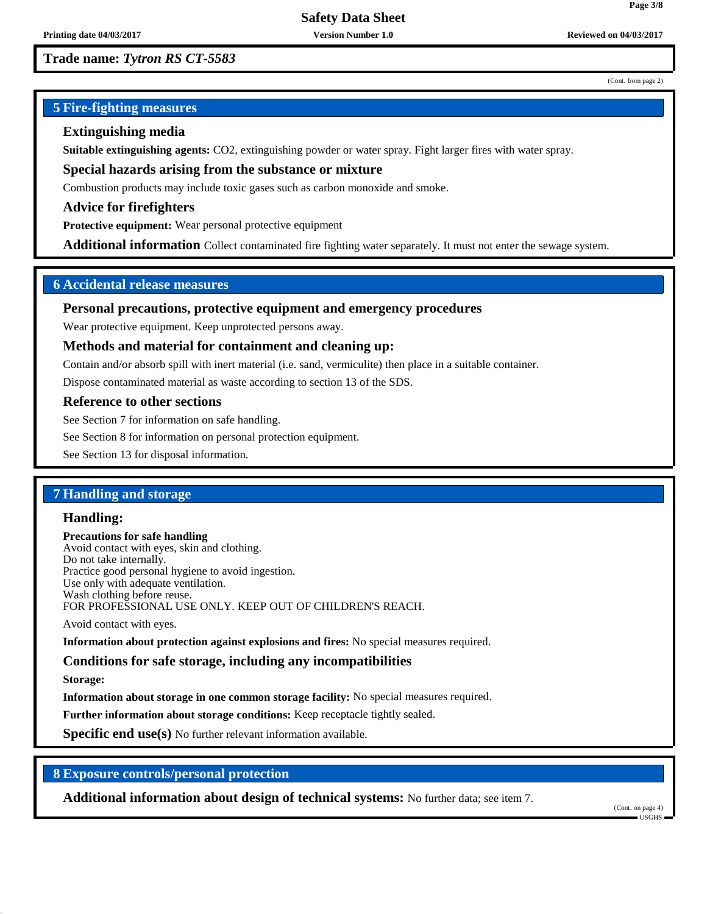#### (Cont. from page 2)

**Page 3/8**

# **5 Fire-fighting measures**

# **Extinguishing media**

**Suitable extinguishing agents:** CO2, extinguishing powder or water spray. Fight larger fires with water spray.

**Special hazards arising from the substance or mixture**

Combustion products may include toxic gases such as carbon monoxide and smoke.

**Advice for firefighters**

**Protective equipment:** Wear personal protective equipment

**Additional information** Collect contaminated fire fighting water separately. It must not enter the sewage system.

# **6 Accidental release measures**

### **Personal precautions, protective equipment and emergency procedures**

Wear protective equipment. Keep unprotected persons away.

### **Methods and material for containment and cleaning up:**

Contain and/or absorb spill with inert material (i.e. sand, vermiculite) then place in a suitable container.

Dispose contaminated material as waste according to section 13 of the SDS.

#### **Reference to other sections**

See Section 7 for information on safe handling.

See Section 8 for information on personal protection equipment.

See Section 13 for disposal information.

# **7 Handling and storage**

## **Handling:**

**Precautions for safe handling** Avoid contact with eyes, skin and clothing. Do not take internally. Practice good personal hygiene to avoid ingestion. Use only with adequate ventilation. Wash clothing before reuse. FOR PROFESSIONAL USE ONLY. KEEP OUT OF CHILDREN'S REACH.

Avoid contact with eyes.

**Information about protection against explosions and fires:** No special measures required.

## **Conditions for safe storage, including any incompatibilities**

**Storage:**

**Information about storage in one common storage facility:** No special measures required.

**Further information about storage conditions:** Keep receptacle tightly sealed.

**Specific end use(s)** No further relevant information available.

# **8 Exposure controls/personal protection**

**Additional information about design of technical systems:** No further data; see item 7.

(Cont. on page 4) USGHS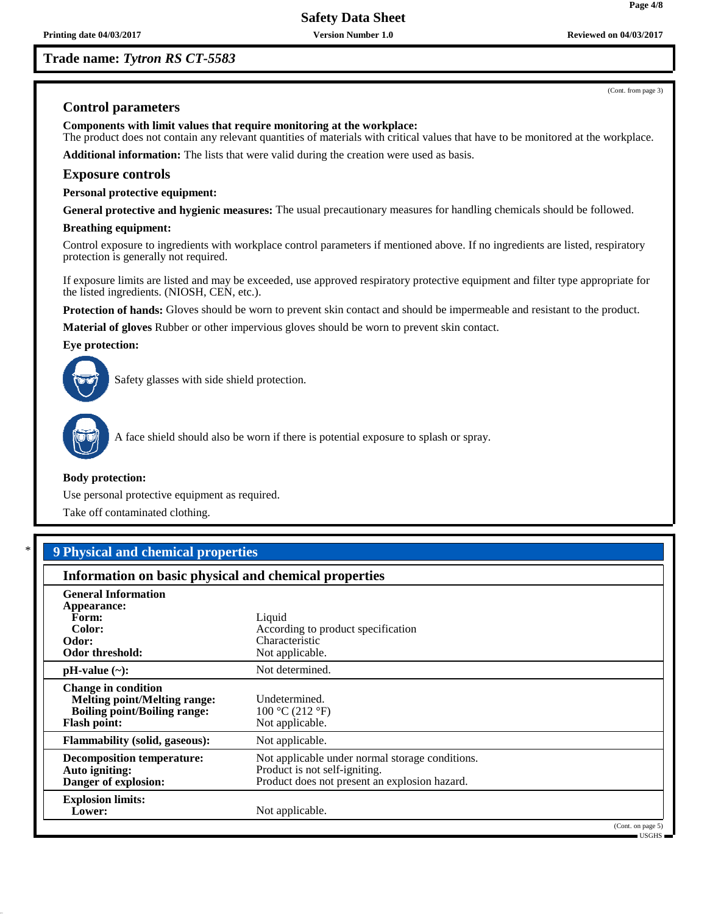# **Trade name:** *Tytron RS CT-5583*

# **Control parameters**

**Components with limit values that require monitoring at the workplace:**

The product does not contain any relevant quantities of materials with critical values that have to be monitored at the workplace. **Additional information:** The lists that were valid during the creation were used as basis.

# **Exposure controls**

**Personal protective equipment:**

**General protective and hygienic measures:** The usual precautionary measures for handling chemicals should be followed.

#### **Breathing equipment:**

Control exposure to ingredients with workplace control parameters if mentioned above. If no ingredients are listed, respiratory protection is generally not required.

If exposure limits are listed and may be exceeded, use approved respiratory protective equipment and filter type appropriate for the listed ingredients. (NIOSH, CEN, etc.).

**Protection of hands:** Gloves should be worn to prevent skin contact and should be impermeable and resistant to the product.

**Material of gloves** Rubber or other impervious gloves should be worn to prevent skin contact.

#### **Eye protection:**



Safety glasses with side shield protection.



A face shield should also be worn if there is potential exposure to splash or spray.

#### **Body protection:**

Use personal protective equipment as required.

Take off contaminated clothing.

# \* **9 Physical and chemical properties**

## **Information on basic physical and chemical properties**

| <b>General Information</b><br>Appearance:<br>Form:<br>Color:<br>Odor:<br>Odor threshold:                                        | Liquid<br>According to product specification<br>Characteristic<br>Not applicable.                                                 |
|---------------------------------------------------------------------------------------------------------------------------------|-----------------------------------------------------------------------------------------------------------------------------------|
| $pH-value (\sim):$                                                                                                              | Not determined.                                                                                                                   |
| <b>Change in condition</b><br><b>Melting point/Melting range:</b><br><b>Boiling point/Boiling range:</b><br><b>Flash point:</b> | Undetermined.<br>100 °C (212 °F)<br>Not applicable.                                                                               |
| <b>Flammability (solid, gaseous):</b>                                                                                           | Not applicable.                                                                                                                   |
| <b>Decomposition temperature:</b><br>Auto igniting:<br>Danger of explosion:                                                     | Not applicable under normal storage conditions.<br>Product is not self-igniting.<br>Product does not present an explosion hazard. |
| <b>Explosion limits:</b><br>Lower:                                                                                              | Not applicable.<br>(Cont. on page 5)                                                                                              |

(Cont. from page 3)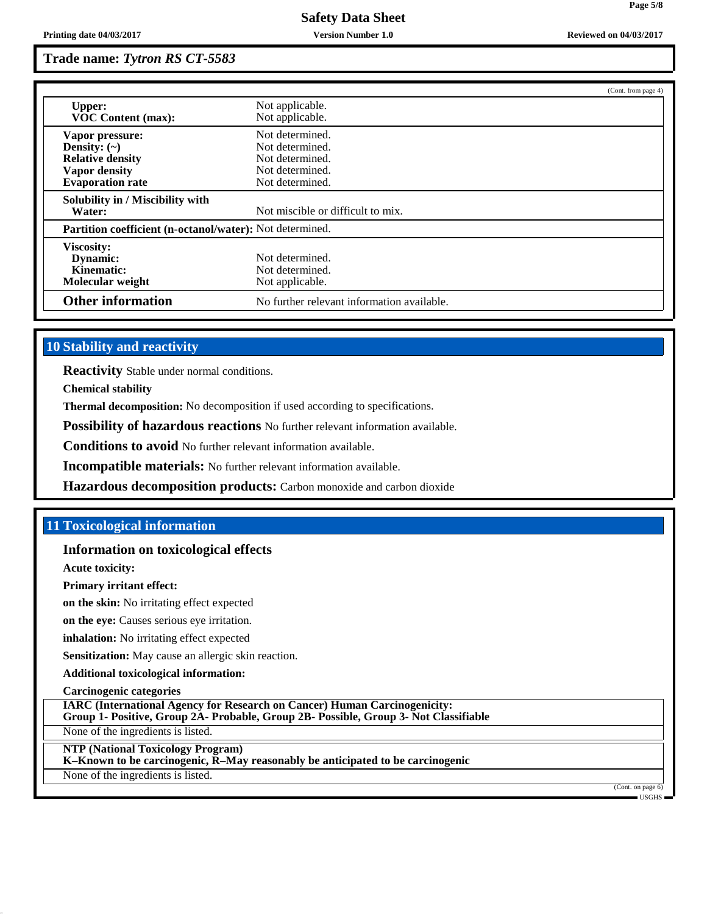|                                                          |                                            | (Cont. from page 4) |
|----------------------------------------------------------|--------------------------------------------|---------------------|
| <b>Upper:</b><br><b>VOC Content (max):</b>               | Not applicable.<br>Not applicable.         |                     |
| Vapor pressure:                                          | Not determined.                            |                     |
| Density: $(\sim)$                                        | Not determined.                            |                     |
| <b>Relative density</b>                                  | Not determined.                            |                     |
| <b>Vapor density</b>                                     | Not determined.                            |                     |
| <b>Evaporation rate</b>                                  | Not determined.                            |                     |
| Solubility in / Miscibility with                         |                                            |                     |
| Water:                                                   | Not miscible or difficult to mix.          |                     |
| Partition coefficient (n-octanol/water): Not determined. |                                            |                     |
| Viscosity:                                               |                                            |                     |
| Dynamic:                                                 | Not determined.                            |                     |
| Kinematic:                                               | Not determined.                            |                     |
| Molecular weight                                         | Not applicable.                            |                     |
| <b>Other information</b>                                 | No further relevant information available. |                     |

# **10 Stability and reactivity**

**Reactivity** Stable under normal conditions.

**Chemical stability**

**Thermal decomposition:** No decomposition if used according to specifications.

**Possibility of hazardous reactions** No further relevant information available.

**Conditions to avoid** No further relevant information available.

**Incompatible materials:** No further relevant information available.

**Hazardous decomposition products:** Carbon monoxide and carbon dioxide

# **11 Toxicological information**

## **Information on toxicological effects**

**Acute toxicity:**

**Primary irritant effect:**

**on the skin:** No irritating effect expected

**on the eye:** Causes serious eye irritation.

**inhalation:** No irritating effect expected

**Sensitization:** May cause an allergic skin reaction.

**Additional toxicological information:**

**Carcinogenic categories**

**IARC (International Agency for Research on Cancer) Human Carcinogenicity:**

**Group 1- Positive, Group 2A- Probable, Group 2B- Possible, Group 3- Not Classifiable**

None of the ingredients is listed.

**NTP (National Toxicology Program)**

**K–Known to be carcinogenic, R–May reasonably be anticipated to be carcinogenic**

None of the ingredients is listed.

(Cont. on page 6) USGHS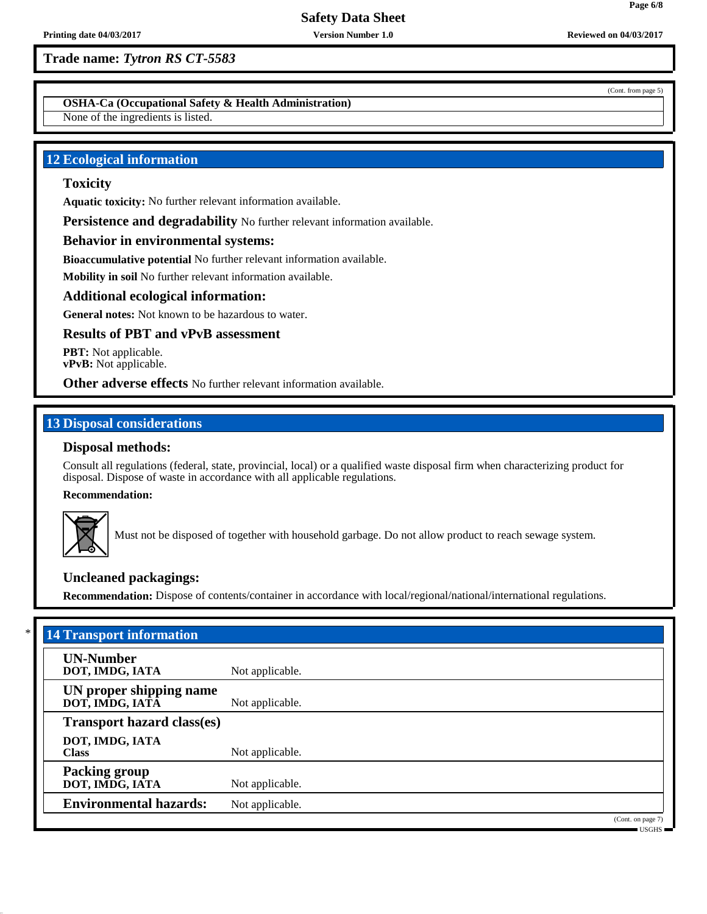**OSHA-Ca (Occupational Safety & Health Administration)**

None of the ingredients is listed.

# **12 Ecological information**

# **Toxicity**

**Aquatic toxicity:** No further relevant information available.

**Persistence and degradability** No further relevant information available.

# **Behavior in environmental systems:**

**Bioaccumulative potential** No further relevant information available.

**Mobility in soil** No further relevant information available.

### **Additional ecological information:**

**General notes:** Not known to be hazardous to water.

### **Results of PBT and vPvB assessment**

**PBT:** Not applicable. **vPvB:** Not applicable.

**Other adverse effects** No further relevant information available.

# **13 Disposal considerations**

# **Disposal methods:**

Consult all regulations (federal, state, provincial, local) or a qualified waste disposal firm when characterizing product for disposal. Dispose of waste in accordance with all applicable regulations.

**Recommendation:**



Must not be disposed of together with household garbage. Do not allow product to reach sewage system.

# **Uncleaned packagings:**

**Recommendation:** Dispose of contents/container in accordance with local/regional/national/international regulations.

| <b>14 Transport information</b>            |                 |                                                           |  |  |
|--------------------------------------------|-----------------|-----------------------------------------------------------|--|--|
| <b>UN-Number</b><br>DOT, IMDG, IATA        | Not applicable. |                                                           |  |  |
| UN proper shipping name<br>DOT, IMDG, IATA | Not applicable. |                                                           |  |  |
| <b>Transport hazard class(es)</b>          |                 |                                                           |  |  |
| DOT, IMDG, IATA<br><b>Class</b>            | Not applicable. |                                                           |  |  |
| <b>Packing group</b><br>DOT, IMDG, IATA    | Not applicable. |                                                           |  |  |
| <b>Environmental hazards:</b>              | Not applicable. |                                                           |  |  |
|                                            |                 | (Cont. on page 7)<br>$\blacksquare$ IISGHS $\blacksquare$ |  |  |

(Cont. from page 5)

**Page 6/8**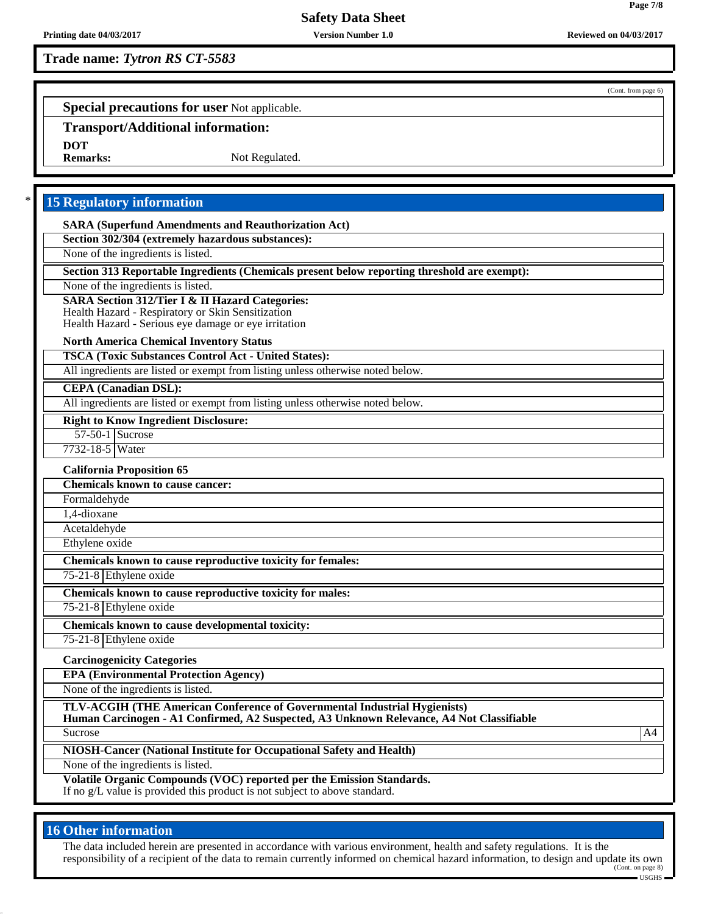# **Trade name:** *Tytron RS CT-5583*

(Cont. from page 6)

**Page 7/8**

**Special precautions for user** Not applicable.

# **Transport/Additional information:**

**DOT**

Not Regulated.

# **15 Regulatory information**

**SARA (Superfund Amendments and Reauthorization Act)**

**Section 302/304 (extremely hazardous substances):**

None of the ingredients is listed.

**Section 313 Reportable Ingredients (Chemicals present below reporting threshold are exempt):**

None of the ingredients is listed.

### **SARA Section 312/Tier I & II Hazard Categories:**

Health Hazard - Respiratory or Skin Sensitization

Health Hazard - Serious eye damage or eye irritation

#### **North America Chemical Inventory Status**

**TSCA (Toxic Substances Control Act - United States):**

All ingredients are listed or exempt from listing unless otherwise noted below.

### **CEPA (Canadian DSL):**

All ingredients are listed or exempt from listing unless otherwise noted below.

#### **Right to Know Ingredient Disclosure:**

57-50-1 Sucrose

# 7732-18-5 Water

**California Proposition 65 Chemicals known to cause cancer:** Formaldehyde

1,4-dioxane

Acetaldehyde

Ethylene oxide

**Chemicals known to cause reproductive toxicity for females:**

75-21-8 Ethylene oxide

**Chemicals known to cause reproductive toxicity for males:**

75-21-8 Ethylene oxide

**Chemicals known to cause developmental toxicity:** 75-21-8 Ethylene oxide

**Carcinogenicity Categories**

**EPA (Environmental Protection Agency)**

None of the ingredients is listed.

**TLV-ACGIH (THE American Conference of Governmental Industrial Hygienists)**

**Human Carcinogen - A1 Confirmed, A2 Suspected, A3 Unknown Relevance, A4 Not Classifiable** Sucrose A4

**NIOSH-Cancer (National Institute for Occupational Safety and Health)**

None of the ingredients is listed.

**Volatile Organic Compounds (VOC) reported per the Emission Standards.** If no g/L value is provided this product is not subject to above standard.

# **16 Other information**

The data included herein are presented in accordance with various environment, health and safety regulations. It is the responsibility of a recipient of the data to remain currently informed on chemical hazard information, to design and update its own (Cont. on page 8)